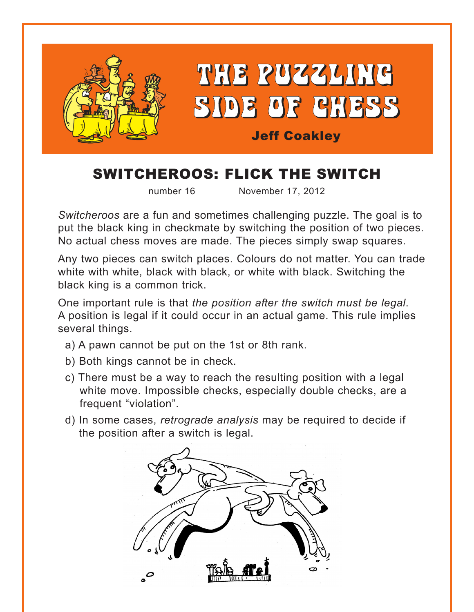

# SWITCHEROOS: FLICK THE SWITCH

number 16 November 17, 2012

*Switcheroos* are a fun and sometimes challenging puzzle. The goal is to put the black king in checkmate by switching the position of two pieces. No actual chess moves are made. The pieces simply swap squares.

Any two pieces can switch places. Colours do not matter. You can trade white with white, black with black, or white with black. Switching the black king is a common trick.

One important rule is that *the position after the switch must be legal*. A position is legal if it could occur in an actual game. This rule implies several things.

- a) A pawn cannot be put on the 1st or 8th rank.
- b) Both kings cannot be in check.
- c) There must be a way to reach the resulting position with a legal white move. Impossible checks, especially double checks, are a frequent "violation".
- d) In some cases, *retrograde analysis* may be required to decide if the position after a switch is legal.

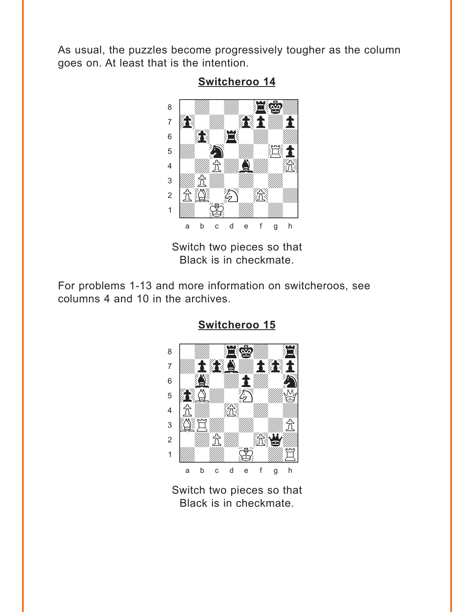<span id="page-1-0"></span>As usual, the puzzles become progressively tougher as the column goes on. At least that is the intention.



**[Switcheroo 14](#page-3-0)** where  $\frac{1}{\sqrt{2\pi}}$  we have the set of  $\frac{1}{\sqrt{2\pi}}$ 

Switch two pieces so that Black is in checkmate.

For problems 1-13 and more information on switcheroos, see columns 4 and 10 in the archives.



**[Switcheroo 15](#page-4-0)**

Switch two pieces so that Black is in checkmate.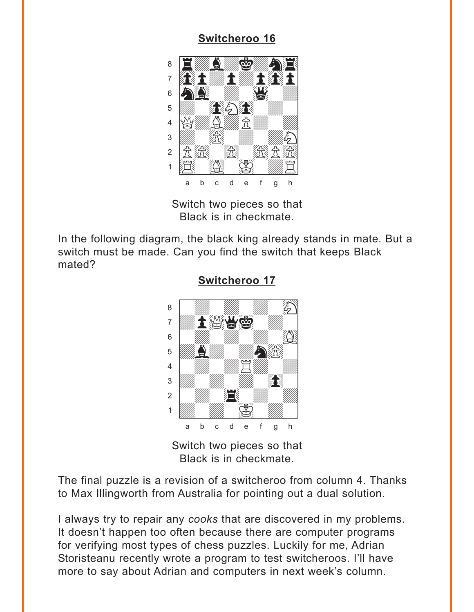### **Switcheroo 16**

<span id="page-2-0"></span>

Switch two pieces so that Black is in checkmate.

In the following diagram, the black king already stands in mate. But a switch must be made. Can you find the switch that keeps Black mated?



Switcheroo 17

Switch two pieces so that Black is in checkmate.

The final puzzle is a revision of a switcheroo from column 4. Thanks to Max Illingworth from Australia for pointing out a dual solution.

I always try to repair any cooks that are discovered in my problems. It doesn't happen too often because there are computer programs for verifying most types of chess puzzles. Luckily for me, Adrian Storisteanu recently wrote a program to test switcheroos. I'll have more to say about Adrian and computers in next week's column.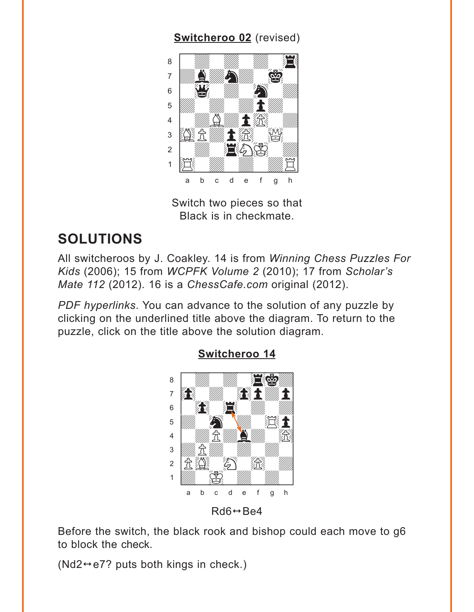### **Switcheroo 02** (revised)

<span id="page-3-0"></span>

Switch two pieces so that Black is in checkmate.

## **SOLUTIONS**

All switcheroos by J. Coakley. 14 is from Winning Chess Puzzles For Kids (2006); 15 from WCPFK Volume 2 (2010); 17 from Scholar's Mate 112 (2012). 16 is a ChessCafe.com original (2012).

PDF hyperlinks. You can advance to the solution of any puzzle by clicking on the underlined title above the diagram. To return to the puzzle, click on the title above the solution diagram.



**Switcheroo 14** 

 $Rd6 \leftrightarrow Be4$ 

Before the switch, the black rook and bishop could each move to g6 to block the check.

 $(Nd2 \leftrightarrow e7$ ? puts both kings in check.)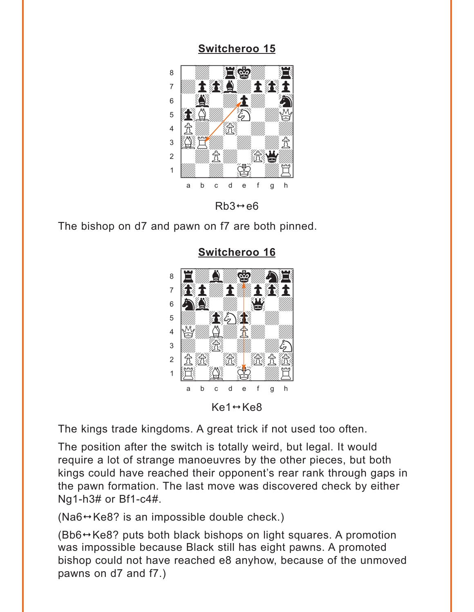### **Switcheroo 15**

<span id="page-4-0"></span>

 $Rb3 \leftrightarrow e6$ 

The bishop on d7 and pawn on f7 are both pinned.



**Switcheroo 16** 

The kings trade kingdoms. A great trick if not used too often.

The position after the switch is totally weird, but legal. It would require a lot of strange manoeuvres by the other pieces, but both kings could have reached their opponent's rear rank through gaps in the pawn formation. The last move was discovered check by either Ng1-h3# or Bf1-c4#.

 $(Na6 \leftrightarrow Ke8?$  is an impossible double check.)

 $(Bb6 \rightarrow Ke8$ ? puts both black bishops on light squares. A promotion was impossible because Black still has eight pawns. A promoted bishop could not have reached e8 anyhow, because of the unmoved pawns on d7 and f7.)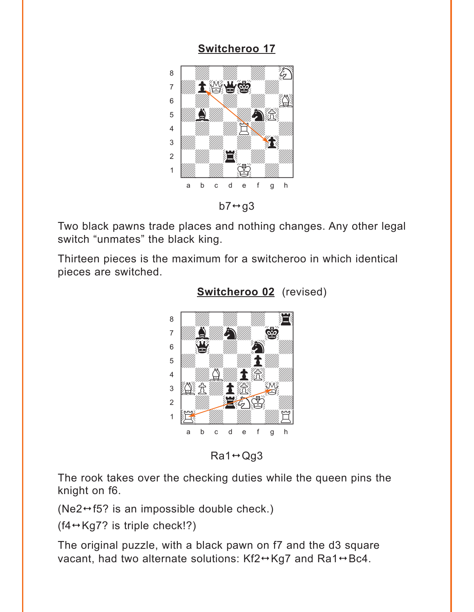### **Switcheroo 17**

<span id="page-5-0"></span>

 $b7 \leftrightarrow g3$ 

Two black pawns trade places and nothing changes. Any other legal switch "unmates" the black king.

Thirteen pieces is the maximum for a switcheroo in which identical pieces are switched.



#### **Switcheroo 02** (revised)

 $Ra1 \leftrightarrow Qq3$ 

The rook takes over the checking duties while the queen pins the knight on f6.

( $Ne2 \leftrightarrow 5$ ? is an impossible double check.)

 $(f4 \leftrightarrow Kg7$ ? is triple check!?)

The original puzzle, with a black pawn on f7 and the d3 square vacant, had two alternate solutions: Kf2→Kg7 and Ra1→Bc4.